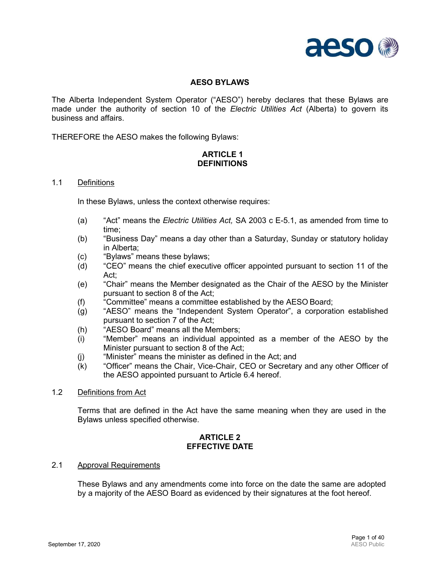

## **AESO BYLAWS**

The Alberta Independent System Operator ("AESO") hereby declares that these Bylaws are made under the authority of section 10 of the *Electric Utilities Act* (Alberta) to govern its business and affairs.

THEREFORE the AESO makes the following Bylaws:

## **ARTICLE 1 DEFINITIONS**

#### 1.1 Definitions

In these Bylaws, unless the context otherwise requires:

- (a) "Act" means the *Electric Utilities Act,* SA 2003 c E-5.1, as amended from time to time;
- (b) "Business Day" means a day other than a Saturday, Sunday or statutory holiday in Alberta;
- (c) "Bylaws" means these bylaws;
- (d) "CEO" means the chief executive officer appointed pursuant to section 11 of the Act;
- (e) "Chair" means the Member designated as the Chair of the AESO by the Minister pursuant to section 8 of the Act;
- (f) "Committee" means a committee established by the AESO Board;
- (g) "AESO" means the "Independent System Operator", a corporation established pursuant to section 7 of the Act;
- (h) "AESO Board" means all the Members;
- (i) "Member" means an individual appointed as a member of the AESO by the Minister pursuant to section 8 of the Act;
- (j) "Minister" means the minister as defined in the Act; and
- (k) "Officer" means the Chair, Vice-Chair, CEO or Secretary and any other Officer of the AESO appointed pursuant to Article 6.4 hereof.
- 1.2 Definitions from Act

Terms that are defined in the Act have the same meaning when they are used in the Bylaws unless specified otherwise.

#### **ARTICLE 2 EFFECTIVE DATE**

#### 2.1 Approval Requirements

These Bylaws and any amendments come into force on the date the same are adopted by a majority of the AESO Board as evidenced by their signatures at the foot hereof.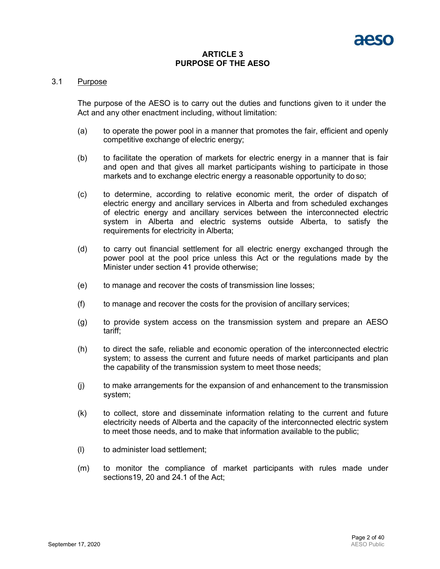#### **ARTICLE 3 PURPOSE OF THE AESO**

#### 3.1 Purpose

The purpose of the AESO is to carry out the duties and functions given to it under the Act and any other enactment including, without limitation:

- (a) to operate the power pool in a manner that promotes the fair, efficient and openly competitive exchange of electric energy;
- (b) to facilitate the operation of markets for electric energy in a manner that is fair and open and that gives all market participants wishing to participate in those markets and to exchange electric energy a reasonable opportunity to do so;
- (c) to determine, according to relative economic merit, the order of dispatch of electric energy and ancillary services in Alberta and from scheduled exchanges of electric energy and ancillary services between the interconnected electric system in Alberta and electric systems outside Alberta, to satisfy the requirements for electricity in Alberta;
- (d) to carry out financial settlement for all electric energy exchanged through the power pool at the pool price unless this Act or the regulations made by the Minister under section 41 provide otherwise;
- (e) to manage and recover the costs of transmission line losses;
- (f) to manage and recover the costs for the provision of ancillary services;
- (g) to provide system access on the transmission system and prepare an AESO tariff;
- (h) to direct the safe, reliable and economic operation of the interconnected electric system; to assess the current and future needs of market participants and plan the capability of the transmission system to meet those needs;
- (j) to make arrangements for the expansion of and enhancement to the transmission system;
- (k) to collect, store and disseminate information relating to the current and future electricity needs of Alberta and the capacity of the interconnected electric system to meet those needs, and to make that information available to the public;
- (l) to administer load settlement;
- (m) to monitor the compliance of market participants with rules made under sections19, 20 and 24.1 of the Act;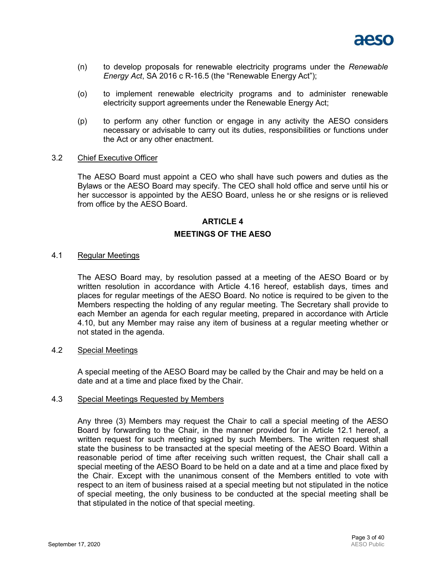

- (n) to develop proposals for renewable electricity programs under the *Renewable Energy Act*, SA 2016 c R-16.5 (the "Renewable Energy Act");
- (o) to implement renewable electricity programs and to administer renewable electricity support agreements under the Renewable Energy Act;
- (p) to perform any other function or engage in any activity the AESO considers necessary or advisable to carry out its duties, responsibilities or functions under the Act or any other enactment.

#### 3.2 Chief Executive Officer

The AESO Board must appoint a CEO who shall have such powers and duties as the Bylaws or the AESO Board may specify. The CEO shall hold office and serve until his or her successor is appointed by the AESO Board, unless he or she resigns or is relieved from office by the AESO Board.

## **ARTICLE 4**

#### **MEETINGS OF THE AESO**

#### 4.1 Regular Meetings

The AESO Board may, by resolution passed at a meeting of the AESO Board or by written resolution in accordance with Article 4.16 hereof, establish days, times and places for regular meetings of the AESO Board. No notice is required to be given to the Members respecting the holding of any regular meeting. The Secretary shall provide to each Member an agenda for each regular meeting, prepared in accordance with Article 4.10, but any Member may raise any item of business at a regular meeting whether or not stated in the agenda.

#### 4.2 Special Meetings

A special meeting of the AESO Board may be called by the Chair and may be held on a date and at a time and place fixed by the Chair.

#### 4.3 Special Meetings Requested by Members

Any three (3) Members may request the Chair to call a special meeting of the AESO Board by forwarding to the Chair, in the manner provided for in Article 12.1 hereof, a written request for such meeting signed by such Members. The written request shall state the business to be transacted at the special meeting of the AESO Board. Within a reasonable period of time after receiving such written request, the Chair shall call a special meeting of the AESO Board to be held on a date and at a time and place fixed by the Chair. Except with the unanimous consent of the Members entitled to vote with respect to an item of business raised at a special meeting but not stipulated in the notice of special meeting, the only business to be conducted at the special meeting shall be that stipulated in the notice of that special meeting.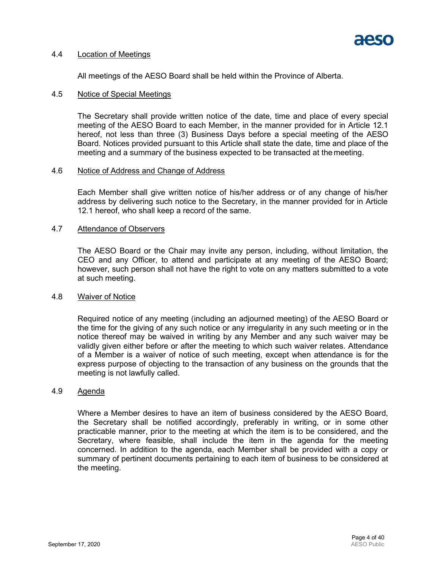

#### 4.4 Location of Meetings

All meetings of the AESO Board shall be held within the Province of Alberta.

#### 4.5 Notice of Special Meetings

The Secretary shall provide written notice of the date, time and place of every special meeting of the AESO Board to each Member, in the manner provided for in Article 12.1 hereof, not less than three (3) Business Days before a special meeting of the AESO Board. Notices provided pursuant to this Article shall state the date, time and place of the meeting and a summary of the business expected to be transacted at the meeting.

#### 4.6 Notice of Address and Change of Address

Each Member shall give written notice of his/her address or of any change of his/her address by delivering such notice to the Secretary, in the manner provided for in Article 12.1 hereof, who shall keep a record of the same.

#### 4.7 Attendance of Observers

The AESO Board or the Chair may invite any person, including, without limitation, the CEO and any Officer, to attend and participate at any meeting of the AESO Board; however, such person shall not have the right to vote on any matters submitted to a vote at such meeting.

#### 4.8 Waiver of Notice

Required notice of any meeting (including an adjourned meeting) of the AESO Board or the time for the giving of any such notice or any irregularity in any such meeting or in the notice thereof may be waived in writing by any Member and any such waiver may be validly given either before or after the meeting to which such waiver relates. Attendance of a Member is a waiver of notice of such meeting, except when attendance is for the express purpose of objecting to the transaction of any business on the grounds that the meeting is not lawfully called.

## 4.9 Agenda

Where a Member desires to have an item of business considered by the AESO Board, the Secretary shall be notified accordingly, preferably in writing, or in some other practicable manner, prior to the meeting at which the item is to be considered, and the Secretary, where feasible, shall include the item in the agenda for the meeting concerned. In addition to the agenda, each Member shall be provided with a copy or summary of pertinent documents pertaining to each item of business to be considered at the meeting.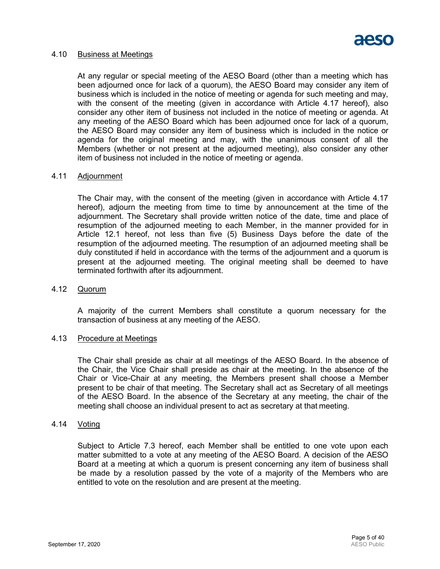

#### 4.10 Business at Meetings

At any regular or special meeting of the AESO Board (other than a meeting which has been adjourned once for lack of a quorum), the AESO Board may consider any item of business which is included in the notice of meeting or agenda for such meeting and may, with the consent of the meeting (given in accordance with Article 4.17 hereof), also consider any other item of business not included in the notice of meeting or agenda. At any meeting of the AESO Board which has been adjourned once for lack of a quorum, the AESO Board may consider any item of business which is included in the notice or agenda for the original meeting and may, with the unanimous consent of all the Members (whether or not present at the adjourned meeting), also consider any other item of business not included in the notice of meeting or agenda.

#### 4.11 Adjournment

The Chair may, with the consent of the meeting (given in accordance with Article 4.17 hereof), adjourn the meeting from time to time by announcement at the time of the adjournment. The Secretary shall provide written notice of the date, time and place of resumption of the adjourned meeting to each Member, in the manner provided for in Article 12.1 hereof, not less than five (5) Business Days before the date of the resumption of the adjourned meeting*.* The resumption of an adjourned meeting shall be duly constituted if held in accordance with the terms of the adjournment and a quorum is present at the adjourned meeting. The original meeting shall be deemed to have terminated forthwith after its adjournment.

#### 4.12 Quorum

A majority of the current Members shall constitute a quorum necessary for the transaction of business at any meeting of the AESO.

#### 4.13 Procedure at Meetings

The Chair shall preside as chair at all meetings of the AESO Board. In the absence of the Chair, the Vice Chair shall preside as chair at the meeting. In the absence of the Chair or Vice-Chair at any meeting, the Members present shall choose a Member present to be chair of that meeting. The Secretary shall act as Secretary of all meetings of the AESO Board. In the absence of the Secretary at any meeting, the chair of the meeting shall choose an individual present to act as secretary at that meeting.

#### 4.14 Voting

Subject to Article 7.3 hereof, each Member shall be entitled to one vote upon each matter submitted to a vote at any meeting of the AESO Board. A decision of the AESO Board at a meeting at which a quorum is present concerning any item of business shall be made by a resolution passed by the vote of a majority of the Members who are entitled to vote on the resolution and are present at the meeting.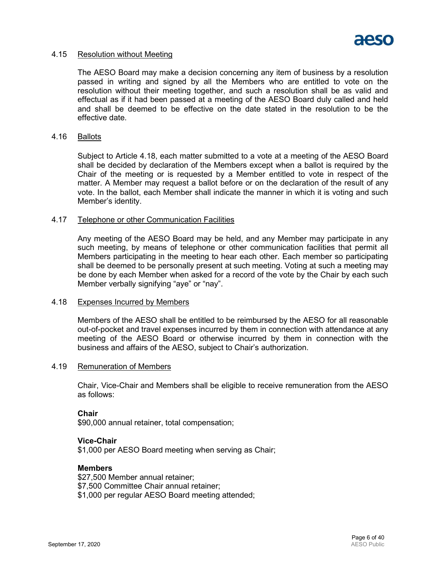

#### 4.15 Resolution without Meeting

The AESO Board may make a decision concerning any item of business by a resolution passed in writing and signed by all the Members who are entitled to vote on the resolution without their meeting together, and such a resolution shall be as valid and effectual as if it had been passed at a meeting of the AESO Board duly called and held and shall be deemed to be effective on the date stated in the resolution to be the effective date.

#### 4.16 Ballots

Subject to Article 4.18, each matter submitted to a vote at a meeting of the AESO Board shall be decided by declaration of the Members except when a ballot is required by the Chair of the meeting or is requested by a Member entitled to vote in respect of the matter. A Member may request a ballot before or on the declaration of the result of any vote. In the ballot, each Member shall indicate the manner in which it is voting and such Member's identity.

#### 4.17 Telephone or other Communication Facilities

Any meeting of the AESO Board may be held, and any Member may participate in any such meeting, by means of telephone or other communication facilities that permit all Members participating in the meeting to hear each other. Each member so participating shall be deemed to be personally present at such meeting. Voting at such a meeting may be done by each Member when asked for a record of the vote by the Chair by each such Member verbally signifying "aye" or "nay".

#### 4.18 Expenses Incurred by Members

Members of the AESO shall be entitled to be reimbursed by the AESO for all reasonable out-of-pocket and travel expenses incurred by them in connection with attendance at any meeting of the AESO Board or otherwise incurred by them in connection with the business and affairs of the AESO, subject to Chair's authorization.

#### 4.19 Remuneration of Members

Chair, Vice-Chair and Members shall be eligible to receive remuneration from the AESO as follows:

#### **Chair**

\$90,000 annual retainer, total compensation;

## **Vice-Chair**

\$1,000 per AESO Board meeting when serving as Chair;

#### **Members**

\$27,500 Member annual retainer; \$7,500 Committee Chair annual retainer; \$1,000 per regular AESO Board meeting attended;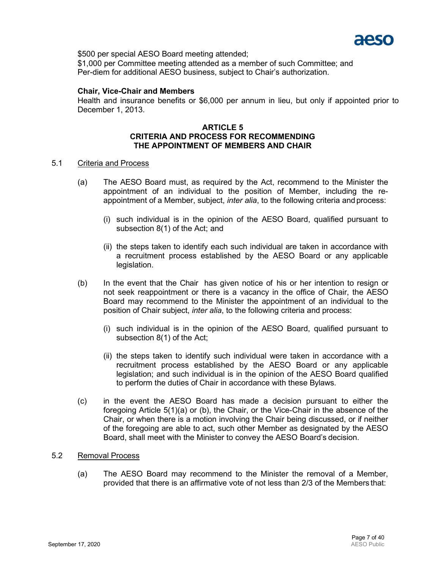

\$500 per special AESO Board meeting attended;

\$1,000 per Committee meeting attended as a member of such Committee; and Per-diem for additional AESO business, subject to Chair's authorization.

#### **Chair, Vice-Chair and Members**

Health and insurance benefits or \$6,000 per annum in lieu, but only if appointed prior to December 1, 2013.

#### **ARTICLE 5 CRITERIA AND PROCESS FOR RECOMMENDING THE APPOINTMENT OF MEMBERS AND CHAIR**

#### 5.1 Criteria and Process

- (a) The AESO Board must, as required by the Act, recommend to the Minister the appointment of an individual to the position of Member, including the reappointment of a Member, subject, *inter alia*, to the following criteria andprocess:
	- (i) such individual is in the opinion of the AESO Board, qualified pursuant to subsection 8(1) of the Act; and
	- (ii) the steps taken to identify each such individual are taken in accordance with a recruitment process established by the AESO Board or any applicable legislation.
- (b) In the event that the Chair has given notice of his or her intention to resign or not seek reappointment or there is a vacancy in the office of Chair, the AESO Board may recommend to the Minister the appointment of an individual to the position of Chair subject, *inter alia*, to the following criteria and process:
	- (i) such individual is in the opinion of the AESO Board, qualified pursuant to subsection 8(1) of the Act;
	- (ii) the steps taken to identify such individual were taken in accordance with a recruitment process established by the AESO Board or any applicable legislation; and such individual is in the opinion of the AESO Board qualified to perform the duties of Chair in accordance with these Bylaws.
- (c) in the event the AESO Board has made a decision pursuant to either the foregoing Article 5(1)(a) or (b), the Chair, or the Vice-Chair in the absence of the Chair, or when there is a motion involving the Chair being discussed, or if neither of the foregoing are able to act, such other Member as designated by the AESO Board, shall meet with the Minister to convey the AESO Board's decision.

#### 5.2 Removal Process

(a) The AESO Board may recommend to the Minister the removal of a Member, provided that there is an affirmative vote of not less than 2/3 of the Members that: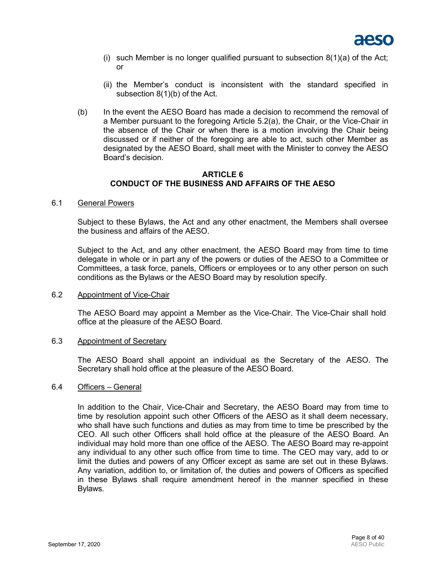

- (i) such Member is no longer qualified pursuant to subsection  $8(1)(a)$  of the Act; or
- (ii) the Member's conduct is inconsistent with the standard specified in subsection 8(1)(b) of the Act.
- (b) In the event the AESO Board has made a decision to recommend the removal of a Member pursuant to the foregoing Article 5.2(a), the Chair, or the Vice-Chair in the absence of the Chair or when there is a motion involving the Chair being discussed or if neither of the foregoing are able to act, such other Member as designated by the AESO Board, shall meet with the Minister to convey the AESO Board's decision.

#### **ARTICLE 6 CONDUCT OF THE BUSINESS AND AFFAIRS OF THE AESO**

#### 6.1 General Powers

Subject to these Bylaws, the Act and any other enactment, the Members shall oversee the business and affairs of the AESO.

Subject to the Act, and any other enactment, the AESO Board may from time to time delegate in whole or in part any of the powers or duties of the AESO to a Committee or Committees, a task force, panels, Officers or employees or to any other person on such conditions as the Bylaws or the AESO Board may by resolution specify.

#### 6.2 Appointment of Vice-Chair

The AESO Board may appoint a Member as the Vice-Chair. The Vice-Chair shall hold office at the pleasure of the AESO Board.

## 6.3 Appointment of Secretary

The AESO Board shall appoint an individual as the Secretary of the AESO. The Secretary shall hold office at the pleasure of the AESO Board.

#### 6.4 Officers – General

In addition to the Chair, Vice-Chair and Secretary, the AESO Board may from time to time by resolution appoint such other Officers of the AESO as it shall deem necessary, who shall have such functions and duties as may from time to time be prescribed by the CEO. All such other Officers shall hold office at the pleasure of the AESO Board. An individual may hold more than one office of the AESO. The AESO Board may re-appoint any individual to any other such office from time to time. The CEO may vary, add to or limit the duties and powers of any Officer except as same are set out in these Bylaws. Any variation, addition to, or limitation of, the duties and powers of Officers as specified in these Bylaws shall require amendment hereof in the manner specified in these Bylaws.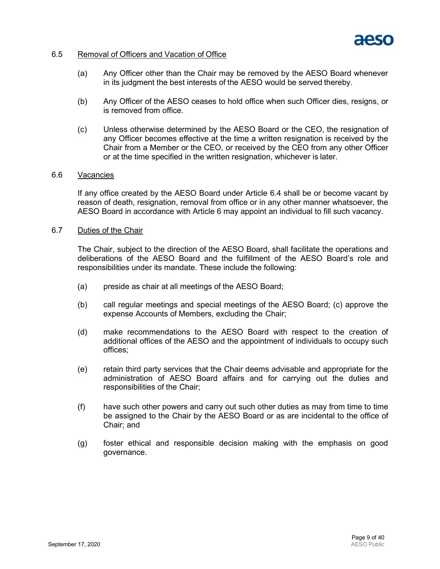

#### 6.5 Removal of Officers and Vacation of Office

- (a) Any Officer other than the Chair may be removed by the AESO Board whenever in its judgment the best interests of the AESO would be served thereby.
- (b) Any Officer of the AESO ceases to hold office when such Officer dies, resigns, or is removed from office.
- (c) Unless otherwise determined by the AESO Board or the CEO, the resignation of any Officer becomes effective at the time a written resignation is received by the Chair from a Member or the CEO, or received by the CEO from any other Officer or at the time specified in the written resignation, whichever is later.

#### 6.6 Vacancies

If any office created by the AESO Board under Article 6.4 shall be or become vacant by reason of death, resignation, removal from office or in any other manner whatsoever, the AESO Board in accordance with Article 6 may appoint an individual to fill such vacancy.

#### 6.7 Duties of the Chair

The Chair, subject to the direction of the AESO Board, shall facilitate the operations and deliberations of the AESO Board and the fulfillment of the AESO Board's role and responsibilities under its mandate. These include the following:

- (a) preside as chair at all meetings of the AESO Board;
- (b) call regular meetings and special meetings of the AESO Board; (c) approve the expense Accounts of Members, excluding the Chair;
- (d) make recommendations to the AESO Board with respect to the creation of additional offices of the AESO and the appointment of individuals to occupy such offices;
- (e) retain third party services that the Chair deems advisable and appropriate for the administration of AESO Board affairs and for carrying out the duties and responsibilities of the Chair;
- (f) have such other powers and carry out such other duties as may from time to time be assigned to the Chair by the AESO Board or as are incidental to the office of Chair; and
- (g) foster ethical and responsible decision making with the emphasis on good governance.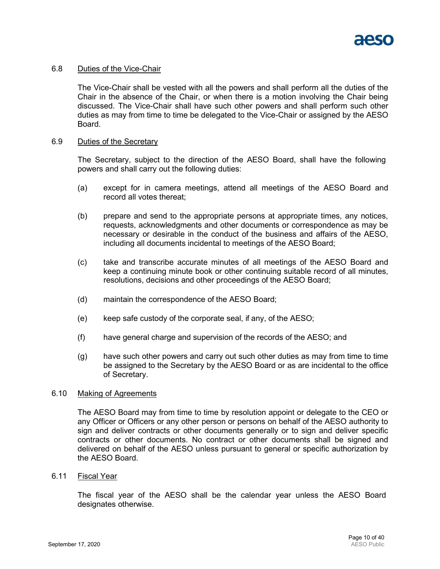#### 6.8 Duties of the Vice-Chair

The Vice-Chair shall be vested with all the powers and shall perform all the duties of the Chair in the absence of the Chair, or when there is a motion involving the Chair being discussed. The Vice-Chair shall have such other powers and shall perform such other duties as may from time to time be delegated to the Vice-Chair or assigned by the AESO Board.

#### 6.9 Duties of the Secretary

The Secretary, subject to the direction of the AESO Board, shall have the following powers and shall carry out the following duties:

- (a) except for in camera meetings, attend all meetings of the AESO Board and record all votes thereat;
- (b) prepare and send to the appropriate persons at appropriate times, any notices, requests, acknowledgments and other documents or correspondence as may be necessary or desirable in the conduct of the business and affairs of the AESO, including all documents incidental to meetings of the AESO Board;
- (c) take and transcribe accurate minutes of all meetings of the AESO Board and keep a continuing minute book or other continuing suitable record of all minutes, resolutions, decisions and other proceedings of the AESO Board;
- (d) maintain the correspondence of the AESO Board;
- (e) keep safe custody of the corporate seal, if any, of the AESO;
- (f) have general charge and supervision of the records of the AESO; and
- (g) have such other powers and carry out such other duties as may from time to time be assigned to the Secretary by the AESO Board or as are incidental to the office of Secretary.

#### 6.10 Making of Agreements

The AESO Board may from time to time by resolution appoint or delegate to the CEO or any Officer or Officers or any other person or persons on behalf of the AESO authority to sign and deliver contracts or other documents generally or to sign and deliver specific contracts or other documents. No contract or other documents shall be signed and delivered on behalf of the AESO unless pursuant to general or specific authorization by the AESO Board.

#### 6.11 Fiscal Year

The fiscal year of the AESO shall be the calendar year unless the AESO Board designates otherwise.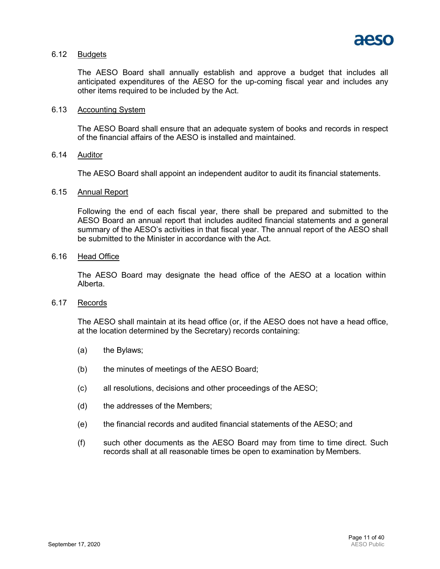

#### 6.12 Budgets

The AESO Board shall annually establish and approve a budget that includes all anticipated expenditures of the AESO for the up-coming fiscal year and includes any other items required to be included by the Act.

#### 6.13 Accounting System

The AESO Board shall ensure that an adequate system of books and records in respect of the financial affairs of the AESO is installed and maintained.

## 6.14 Auditor

The AESO Board shall appoint an independent auditor to audit its financial statements.

#### 6.15 Annual Report

Following the end of each fiscal year, there shall be prepared and submitted to the AESO Board an annual report that includes audited financial statements and a general summary of the AESO's activities in that fiscal year. The annual report of the AESO shall be submitted to the Minister in accordance with the Act.

#### 6.16 Head Office

The AESO Board may designate the head office of the AESO at a location within Alberta.

#### 6.17 Records

The AESO shall maintain at its head office (or, if the AESO does not have a head office, at the location determined by the Secretary) records containing:

- (a) the Bylaws;
- (b) the minutes of meetings of the AESO Board;
- (c) all resolutions, decisions and other proceedings of the AESO;
- (d) the addresses of the Members;
- (e) the financial records and audited financial statements of the AESO; and
- (f) such other documents as the AESO Board may from time to time direct. Such records shall at all reasonable times be open to examination by Members.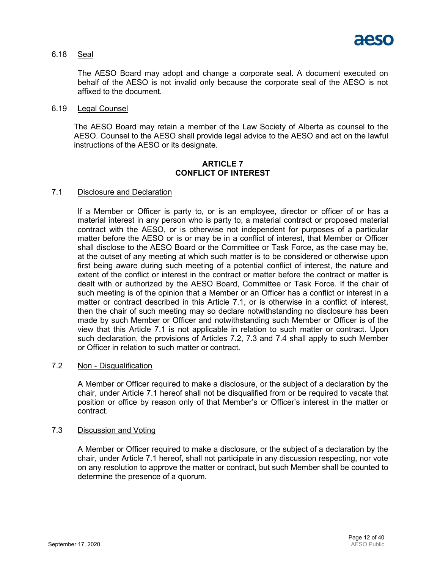

#### 6.18 Seal

The AESO Board may adopt and change a corporate seal. A document executed on behalf of the AESO is not invalid only because the corporate seal of the AESO is not affixed to the document.

#### 6.19 Legal Counsel

The AESO Board may retain a member of the Law Society of Alberta as counsel to the AESO. Counsel to the AESO shall provide legal advice to the AESO and act on the lawful instructions of the AESO or its designate.

#### **ARTICLE 7 CONFLICT OF INTEREST**

#### 7.1 Disclosure and Declaration

If a Member or Officer is party to, or is an employee, director or officer of or has a material interest in any person who is party to, a material contract or proposed material contract with the AESO, or is otherwise not independent for purposes of a particular matter before the AESO or is or may be in a conflict of interest, that Member or Officer shall disclose to the AESO Board or the Committee or Task Force, as the case may be, at the outset of any meeting at which such matter is to be considered or otherwise upon first being aware during such meeting of a potential conflict of interest, the nature and extent of the conflict or interest in the contract or matter before the contract or matter is dealt with or authorized by the AESO Board, Committee or Task Force. If the chair of such meeting is of the opinion that a Member or an Officer has a conflict or interest in a matter or contract described in this Article 7.1, or is otherwise in a conflict of interest, then the chair of such meeting may so declare notwithstanding no disclosure has been made by such Member or Officer and notwithstanding such Member or Officer is of the view that this Article 7.1 is not applicable in relation to such matter or contract. Upon such declaration, the provisions of Articles 7.2, 7.3 and 7.4 shall apply to such Member or Officer in relation to such matter or contract.

#### 7.2 Non - Disqualification

A Member or Officer required to make a disclosure, or the subject of a declaration by the chair, under Article 7.1 hereof shall not be disqualified from or be required to vacate that position or office by reason only of that Member's or Officer's interest in the matter or contract.

#### 7.3 Discussion and Voting

A Member or Officer required to make a disclosure, or the subject of a declaration by the chair, under Article 7.1 hereof, shall not participate in any discussion respecting, nor vote on any resolution to approve the matter or contract, but such Member shall be counted to determine the presence of a quorum.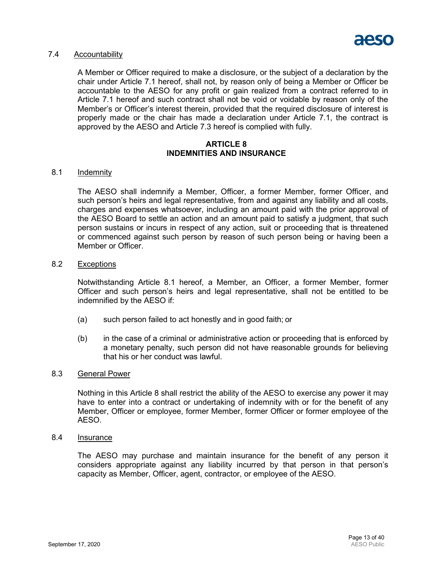

#### 7.4 Accountability

A Member or Officer required to make a disclosure, or the subject of a declaration by the chair under Article 7.1 hereof, shall not, by reason only of being a Member or Officer be accountable to the AESO for any profit or gain realized from a contract referred to in Article 7.1 hereof and such contract shall not be void or voidable by reason only of the Member's or Officer's interest therein, provided that the required disclosure of interest is properly made or the chair has made a declaration under Article 7.1, the contract is approved by the AESO and Article 7.3 hereof is complied with fully.

#### **ARTICLE 8 INDEMNITIES AND INSURANCE**

#### 8.1 Indemnity

The AESO shall indemnify a Member, Officer, a former Member, former Officer, and such person's heirs and legal representative, from and against any liability and all costs, charges and expenses whatsoever, including an amount paid with the prior approval of the AESO Board to settle an action and an amount paid to satisfy a judgment, that such person sustains or incurs in respect of any action, suit or proceeding that is threatened or commenced against such person by reason of such person being or having been a Member or Officer.

#### 8.2 Exceptions

Notwithstanding Article 8.1 hereof, a Member, an Officer, a former Member, former Officer and such person's heirs and legal representative, shall not be entitled to be indemnified by the AESO if:

- (a) such person failed to act honestly and in good faith; or
- (b) in the case of a criminal or administrative action or proceeding that is enforced by a monetary penalty, such person did not have reasonable grounds for believing that his or her conduct was lawful.

#### 8.3 General Power

Nothing in this Article 8 shall restrict the ability of the AESO to exercise any power it may have to enter into a contract or undertaking of indemnity with or for the benefit of any Member, Officer or employee, former Member, former Officer or former employee of the AESO.

#### 8.4 Insurance

The AESO may purchase and maintain insurance for the benefit of any person it considers appropriate against any liability incurred by that person in that person's capacity as Member, Officer, agent, contractor, or employee of the AESO.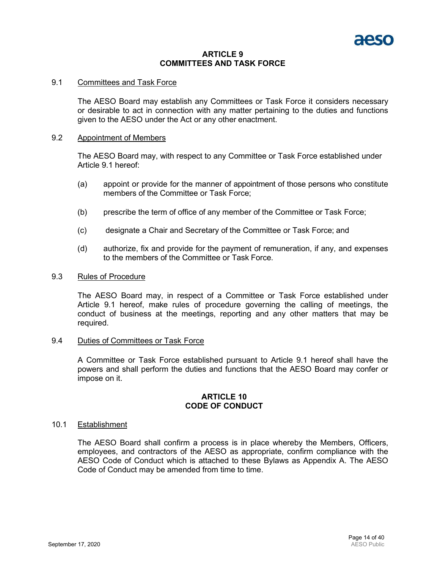#### **ARTICLE 9 COMMITTEES AND TASK FORCE**

#### 9.1 Committees and Task Force

The AESO Board may establish any Committees or Task Force it considers necessary or desirable to act in connection with any matter pertaining to the duties and functions given to the AESO under the Act or any other enactment.

#### 9.2 Appointment of Members

The AESO Board may, with respect to any Committee or Task Force established under Article 9.1 hereof:

- (a) appoint or provide for the manner of appointment of those persons who constitute members of the Committee or Task Force;
- (b) prescribe the term of office of any member of the Committee or Task Force;
- (c) designate a Chair and Secretary of the Committee or Task Force; and
- (d) authorize, fix and provide for the payment of remuneration, if any, and expenses to the members of the Committee or Task Force.

#### 9.3 Rules of Procedure

The AESO Board may, in respect of a Committee or Task Force established under Article 9.1 hereof, make rules of procedure governing the calling of meetings, the conduct of business at the meetings, reporting and any other matters that may be required.

## 9.4 Duties of Committees or Task Force

A Committee or Task Force established pursuant to Article 9.1 hereof shall have the powers and shall perform the duties and functions that the AESO Board may confer or impose on it.

#### **ARTICLE 10 CODE OF CONDUCT**

#### 10.1 Establishment

The AESO Board shall confirm a process is in place whereby the Members, Officers, employees, and contractors of the AESO as appropriate, confirm compliance with the AESO Code of Conduct which is attached to these Bylaws as Appendix A. The AESO Code of Conduct may be amended from time to time.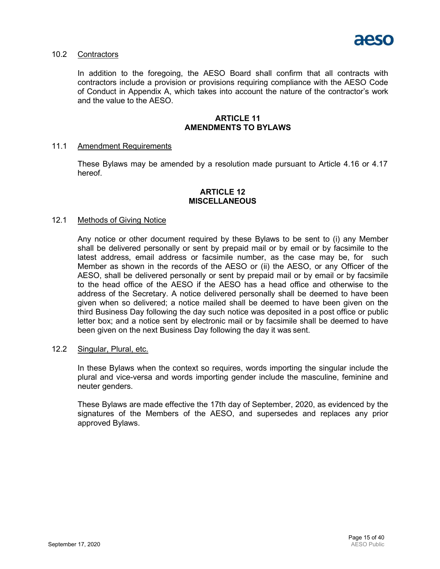

## 10.2 Contractors

In addition to the foregoing, the AESO Board shall confirm that all contracts with contractors include a provision or provisions requiring compliance with the AESO Code of Conduct in Appendix A, which takes into account the nature of the contractor's work and the value to the AESO.

#### **ARTICLE 11 AMENDMENTS TO BYLAWS**

#### 11.1 Amendment Requirements

These Bylaws may be amended by a resolution made pursuant to Article 4.16 or 4.17 hereof.

#### **ARTICLE 12 MISCELLANEOUS**

#### 12.1 Methods of Giving Notice

Any notice or other document required by these Bylaws to be sent to (i) any Member shall be delivered personally or sent by prepaid mail or by email or by facsimile to the latest address, email address or facsimile number, as the case may be, for such Member as shown in the records of the AESO or (ii) the AESO, or any Officer of the AESO, shall be delivered personally or sent by prepaid mail or by email or by facsimile to the head office of the AESO if the AESO has a head office and otherwise to the address of the Secretary. A notice delivered personally shall be deemed to have been given when so delivered; a notice mailed shall be deemed to have been given on the third Business Day following the day such notice was deposited in a post office or public letter box; and a notice sent by electronic mail or by facsimile shall be deemed to have been given on the next Business Day following the day it was sent.

#### 12.2 Singular, Plural, etc.

In these Bylaws when the context so requires, words importing the singular include the plural and vice-versa and words importing gender include the masculine, feminine and neuter genders.

These Bylaws are made effective the 17th day of September, 2020, as evidenced by the signatures of the Members of the AESO, and supersedes and replaces any prior approved Bylaws.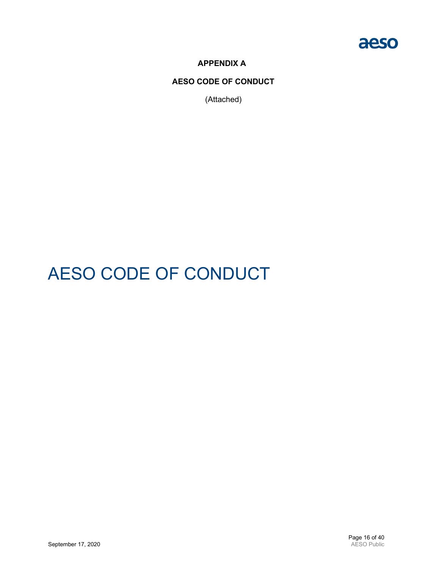

**APPENDIX A**

**AESO CODE OF CONDUCT**

(Attached)

# AESO CODE OF CONDUCT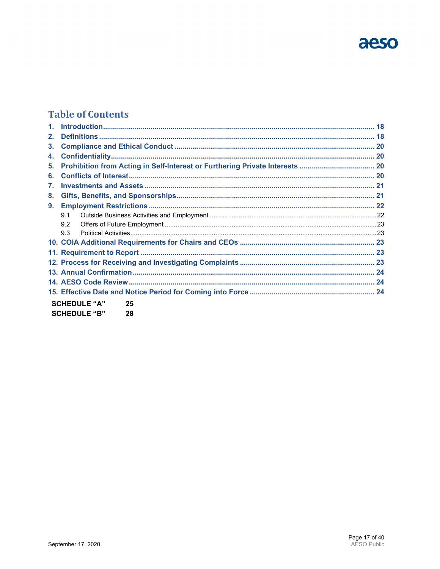

## **Table of Contents**

| 2.                        |     |                     |    |  |  |  |
|---------------------------|-----|---------------------|----|--|--|--|
| 3.                        |     |                     |    |  |  |  |
| 4.                        |     |                     |    |  |  |  |
| 5.                        |     |                     |    |  |  |  |
| 6.                        |     |                     |    |  |  |  |
| $\mathbf{7}$ .            |     |                     |    |  |  |  |
| 8.                        |     |                     |    |  |  |  |
| 9.                        |     |                     |    |  |  |  |
|                           | 9.1 |                     |    |  |  |  |
|                           | 92  |                     |    |  |  |  |
|                           | 9.3 |                     |    |  |  |  |
|                           |     |                     |    |  |  |  |
|                           |     |                     |    |  |  |  |
|                           |     |                     |    |  |  |  |
|                           |     |                     |    |  |  |  |
|                           |     |                     |    |  |  |  |
|                           |     |                     |    |  |  |  |
|                           |     | <b>SCHEDULE "A"</b> | 25 |  |  |  |
| <b>SCHEDULE "B"</b><br>28 |     |                     |    |  |  |  |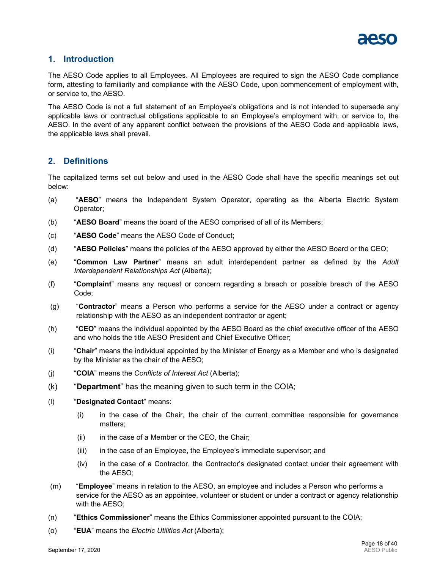

## <span id="page-17-0"></span>**1. Introduction**

The AESO Code applies to all Employees. All Employees are required to sign the AESO Code compliance form, attesting to familiarity and compliance with the AESO Code, upon commencement of employment with, or service to, the AESO.

The AESO Code is not a full statement of an Employee's obligations and is not intended to supersede any applicable laws or contractual obligations applicable to an Employee's employment with, or service to, the AESO. In the event of any apparent conflict between the provisions of the AESO Code and applicable laws, the applicable laws shall prevail.

## <span id="page-17-1"></span>**2. Definitions**

The capitalized terms set out below and used in the AESO Code shall have the specific meanings set out below:

- (a) "**AESO**" means the Independent System Operator, operating as the Alberta Electric System Operator;
- (b) "**AESO Board**" means the board of the AESO comprised of all of its Members;
- (c) "**AESO Code**" means the AESO Code of Conduct;
- (d) "**AESO Policies**" means the policies of the AESO approved by either the AESO Board or the CEO;
- (e) "**Common Law Partner**" means an adult interdependent partner as defined by the *Adult Interdependent Relationships Act* (Alberta);
- (f) "**Complaint**" means any request or concern regarding a breach or possible breach of the AESO Code;
- (g) "**Contractor**" means a Person who performs a service for the AESO under a contract or agency relationship with the AESO as an independent contractor or agent;
- (h) "**CEO**" means the individual appointed by the AESO Board as the chief executive officer of the AESO and who holds the title AESO President and Chief Executive Officer;
- (i) "**Chair**" means the individual appointed by the Minister of Energy as a Member and who is designated by the Minister as the chair of the AESO;
- (j) "**COIA**" means the *Conflicts of Interest Act* (Alberta);
- (k) "**Department**" has the meaning given to such term in the COIA;
- (l) "**Designated Contact**" means:
	- (i) in the case of the Chair, the chair of the current committee responsible for governance matters;
	- (ii) in the case of a Member or the CEO, the Chair;
	- (iii) in the case of an Employee, the Employee's immediate supervisor; and
	- (iv) in the case of a Contractor, the Contractor's designated contact under their agreement with the AESO;
- (m) "**Employee**" means in relation to the AESO, an employee and includes a Person who performs a service for the AESO as an appointee, volunteer or student or under a contract or agency relationship with the AESO;
- (n) "**Ethics Commissioner**" means the Ethics Commissioner appointed pursuant to the COIA;
- (o) "**EUA**" means the *Electric Utilities Act* (Alberta);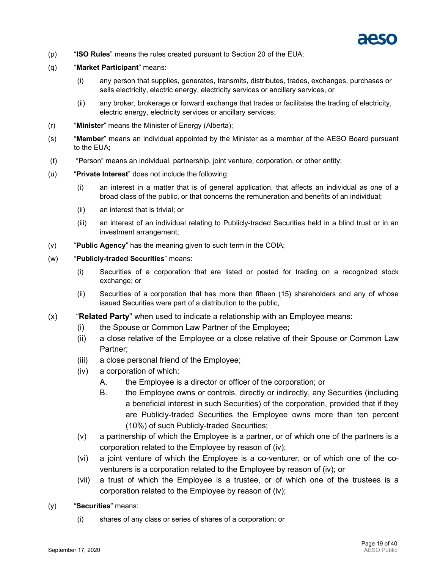

- (p) "**ISO Rules**" means the rules created pursuant to Section 20 of the EUA;
- (q) "**Market Participant**" means:
	- (i) any person that supplies, generates, transmits, distributes, trades, exchanges, purchases or sells electricity, electric energy, electricity services or ancillary services, or
	- (ii) any broker, brokerage or forward exchange that trades or facilitates the trading of electricity, electric energy, electricity services or ancillary services;
- (r) "**Minister**" means the Minister of Energy (Alberta);
- (s) "**Member**" means an individual appointed by the Minister as a member of the AESO Board pursuant to the EUA;
- (t) "Person" means an individual, partnership, joint venture, corporation, or other entity;
- (u) "**Private Interest**" does not include the following:
	- (i) an interest in a matter that is of general application, that affects an individual as one of a broad class of the public, or that concerns the remuneration and benefits of an individual;
	- (ii) an interest that is trivial; or
	- (iii) an interest of an individual relating to Publicly-traded Securities held in a blind trust or in an investment arrangement;
- (v) "**Public Agency**" has the meaning given to such term in the COIA;
- (w) "**Publicly-traded Securities**" means:
	- (i) Securities of a corporation that are listed or posted for trading on a recognized stock exchange; or
	- (ii) Securities of a corporation that has more than fifteen (15) shareholders and any of whose issued Securities were part of a distribution to the public,
- <span id="page-18-0"></span>(x) "**Related Party**" when used to indicate a relationship with an Employee means:
	- (i) the Spouse or Common Law Partner of the Employee;
	- (ii) a close relative of the Employee or a close relative of their Spouse or Common Law Partner;
	- (iii) a close personal friend of the Employee;
	- (iv) a corporation of which:
		- A. the Employee is a director or officer of the corporation; or
		- B. the Employee owns or controls, directly or indirectly, any Securities (including a beneficial interest in such Securities) of the corporation, provided that if they are Publicly-traded Securities the Employee owns more than ten percent (10%) of such Publicly-traded Securities;
	- (v) a partnership of which the Employee is a partner, or of which one of the partners is a corporation related to the Employee by reason of [\(iv\);](#page-18-0)
	- (vi) a joint venture of which the Employee is a co-venturer, or of which one of the coventurers is a corporation related to the Employee by reason of [\(iv\);](#page-18-0) or
	- (vii) a trust of which the Employee is a trustee, or of which one of the trustees is a corporation related to the Employee by reason of [\(iv\);](#page-18-0)
- (y) "**Securities**" means:
	- (i) shares of any class or series of shares of a corporation; or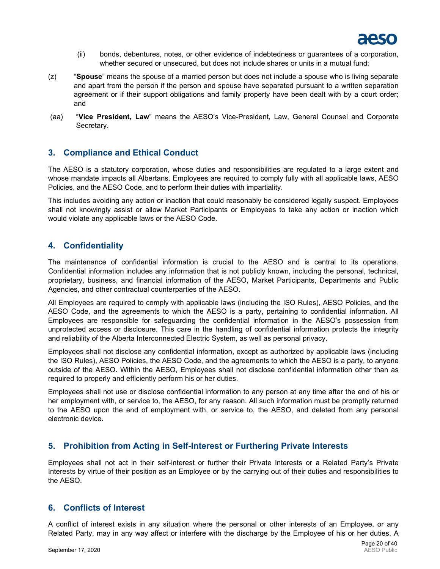

- (ii) bonds, debentures, notes, or other evidence of indebtedness or guarantees of a corporation, whether secured or unsecured, but does not include shares or units in a mutual fund;
- (z) "**Spouse**" means the spouse of a married person but does not include a spouse who is living separate and apart from the person if the person and spouse have separated pursuant to a written separation agreement or if their support obligations and family property have been dealt with by a court order; and
- (aa) "**Vice President, Law**" means the AESO's Vice-President, Law, General Counsel and Corporate Secretary.

## <span id="page-19-0"></span>**3. Compliance and Ethical Conduct**

The AESO is a statutory corporation, whose duties and responsibilities are regulated to a large extent and whose mandate impacts all Albertans. Employees are required to comply fully with all applicable laws, AESO Policies, and the AESO Code, and to perform their duties with impartiality.

This includes avoiding any action or inaction that could reasonably be considered legally suspect. Employees shall not knowingly assist or allow Market Participants or Employees to take any action or inaction which would violate any applicable laws or the AESO Code.

## <span id="page-19-1"></span>**4. Confidentiality**

The maintenance of confidential information is crucial to the AESO and is central to its operations. Confidential information includes any information that is not publicly known, including the personal, technical, proprietary, business, and financial information of the AESO, Market Participants, Departments and Public Agencies, and other contractual counterparties of the AESO.

All Employees are required to comply with applicable laws (including the ISO Rules), AESO Policies, and the AESO Code, and the agreements to which the AESO is a party, pertaining to confidential information. All Employees are responsible for safeguarding the confidential information in the AESO's possession from unprotected access or disclosure. This care in the handling of confidential information protects the integrity and reliability of the Alberta Interconnected Electric System, as well as personal privacy.

Employees shall not disclose any confidential information, except as authorized by applicable laws (including the ISO Rules), AESO Policies, the AESO Code, and the agreements to which the AESO is a party, to anyone outside of the AESO. Within the AESO, Employees shall not disclose confidential information other than as required to properly and efficiently perform his or her duties.

Employees shall not use or disclose confidential information to any person at any time after the end of his or her employment with, or service to, the AESO, for any reason. All such information must be promptly returned to the AESO upon the end of employment with, or service to, the AESO, and deleted from any personal electronic device.

## <span id="page-19-2"></span>**5. Prohibition from Acting in Self-Interest or Furthering Private Interests**

Employees shall not act in their self-interest or further their Private Interests or a Related Party's Private Interests by virtue of their position as an Employee or by the carrying out of their duties and responsibilities to the AESO.

## <span id="page-19-3"></span>**6. Conflicts of Interest**

A conflict of interest exists in any situation where the personal or other interests of an Employee, or any Related Party, may in any way affect or interfere with the discharge by the Employee of his or her duties. A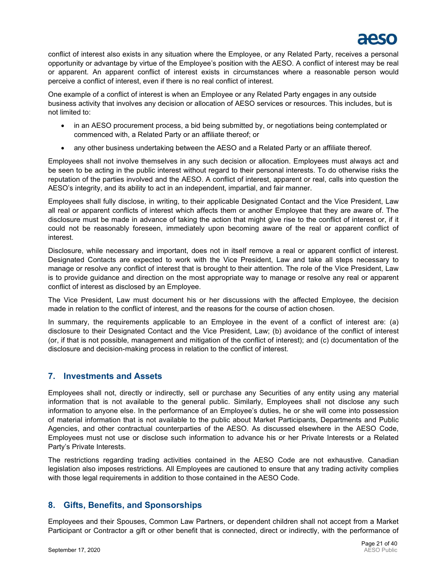

conflict of interest also exists in any situation where the Employee, or any Related Party, receives a personal opportunity or advantage by virtue of the Employee's position with the AESO. A conflict of interest may be real or apparent. An apparent conflict of interest exists in circumstances where a reasonable person would perceive a conflict of interest, even if there is no real conflict of interest.

One example of a conflict of interest is when an Employee or any Related Party engages in any outside business activity that involves any decision or allocation of AESO services or resources. This includes, but is not limited to:

- in an AESO procurement process, a bid being submitted by, or negotiations being contemplated or commenced with, a Related Party or an affiliate thereof; or
- any other business undertaking between the AESO and a Related Party or an affiliate thereof.

Employees shall not involve themselves in any such decision or allocation. Employees must always act and be seen to be acting in the public interest without regard to their personal interests. To do otherwise risks the reputation of the parties involved and the AESO. A conflict of interest, apparent or real, calls into question the AESO's integrity, and its ability to act in an independent, impartial, and fair manner.

Employees shall fully disclose, in writing, to their applicable Designated Contact and the Vice President, Law all real or apparent conflicts of interest which affects them or another Employee that they are aware of. The disclosure must be made in advance of taking the action that might give rise to the conflict of interest or, if it could not be reasonably foreseen, immediately upon becoming aware of the real or apparent conflict of interest.

Disclosure, while necessary and important, does not in itself remove a real or apparent conflict of interest. Designated Contacts are expected to work with the Vice President, Law and take all steps necessary to manage or resolve any conflict of interest that is brought to their attention. The role of the Vice President, Law is to provide guidance and direction on the most appropriate way to manage or resolve any real or apparent conflict of interest as disclosed by an Employee.

The Vice President, Law must document his or her discussions with the affected Employee, the decision made in relation to the conflict of interest, and the reasons for the course of action chosen.

In summary, the requirements applicable to an Employee in the event of a conflict of interest are: (a) disclosure to their Designated Contact and the Vice President, Law; (b) avoidance of the conflict of interest (or, if that is not possible, management and mitigation of the conflict of interest); and (c) documentation of the disclosure and decision-making process in relation to the conflict of interest.

## <span id="page-20-0"></span>**7. Investments and Assets**

Employees shall not, directly or indirectly, sell or purchase any Securities of any entity using any material information that is not available to the general public. Similarly, Employees shall not disclose any such information to anyone else. In the performance of an Employee's duties, he or she will come into possession of material information that is not available to the public about Market Participants, Departments and Public Agencies, and other contractual counterparties of the AESO. As discussed elsewhere in the AESO Code, Employees must not use or disclose such information to advance his or her Private Interests or a Related Party's Private Interests.

The restrictions regarding trading activities contained in the AESO Code are not exhaustive. Canadian legislation also imposes restrictions. All Employees are cautioned to ensure that any trading activity complies with those legal requirements in addition to those contained in the AESO Code.

## <span id="page-20-1"></span>**8. Gifts, Benefits, and Sponsorships**

Employees and their Spouses, Common Law Partners, or dependent children shall not accept from a Market Participant or Contractor a gift or other benefit that is connected, direct or indirectly, with the performance of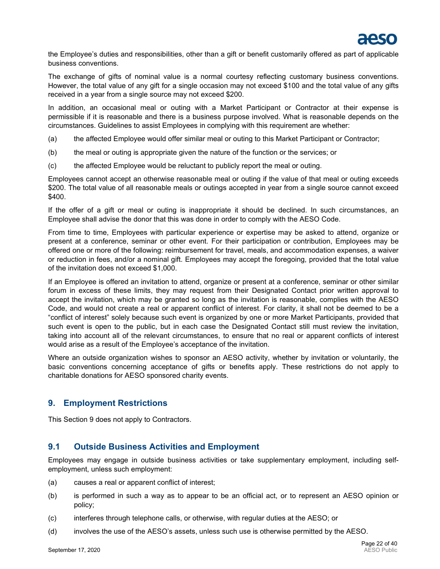

the Employee's duties and responsibilities, other than a gift or benefit customarily offered as part of applicable business conventions.

The exchange of gifts of nominal value is a normal courtesy reflecting customary business conventions. However, the total value of any gift for a single occasion may not exceed \$100 and the total value of any gifts received in a year from a single source may not exceed \$200.

In addition, an occasional meal or outing with a Market Participant or Contractor at their expense is permissible if it is reasonable and there is a business purpose involved. What is reasonable depends on the circumstances. Guidelines to assist Employees in complying with this requirement are whether:

- (a) the affected Employee would offer similar meal or outing to this Market Participant or Contractor;
- (b) the meal or outing is appropriate given the nature of the function or the services; or
- (c) the affected Employee would be reluctant to publicly report the meal or outing.

Employees cannot accept an otherwise reasonable meal or outing if the value of that meal or outing exceeds \$200. The total value of all reasonable meals or outings accepted in year from a single source cannot exceed \$400.

If the offer of a gift or meal or outing is inappropriate it should be declined. In such circumstances, an Employee shall advise the donor that this was done in order to comply with the AESO Code.

From time to time, Employees with particular experience or expertise may be asked to attend, organize or present at a conference, seminar or other event. For their participation or contribution, Employees may be offered one or more of the following: reimbursement for travel, meals, and accommodation expenses, a waiver or reduction in fees, and/or a nominal gift. Employees may accept the foregoing, provided that the total value of the invitation does not exceed \$1,000.

If an Employee is offered an invitation to attend, organize or present at a conference, seminar or other similar forum in excess of these limits, they may request from their Designated Contact prior written approval to accept the invitation, which may be granted so long as the invitation is reasonable, complies with the AESO Code, and would not create a real or apparent conflict of interest. For clarity, it shall not be deemed to be a "conflict of interest" solely because such event is organized by one or more Market Participants, provided that such event is open to the public, but in each case the Designated Contact still must review the invitation, taking into account all of the relevant circumstances, to ensure that no real or apparent conflicts of interest would arise as a result of the Employee's acceptance of the invitation.

Where an outside organization wishes to sponsor an AESO activity, whether by invitation or voluntarily, the basic conventions concerning acceptance of gifts or benefits apply. These restrictions do not apply to charitable donations for AESO sponsored charity events.

## <span id="page-21-0"></span>**9. Employment Restrictions**

This Section [9](#page-21-0) does not apply to Contractors.

## <span id="page-21-1"></span>**9.1 Outside Business Activities and Employment**

Employees may engage in outside business activities or take supplementary employment, including selfemployment, unless such employment:

- (a) causes a real or apparent conflict of interest;
- (b) is performed in such a way as to appear to be an official act, or to represent an AESO opinion or policy;
- (c) interferes through telephone calls, or otherwise, with regular duties at the AESO; or
- (d) involves the use of the AESO's assets, unless such use is otherwise permitted by the AESO.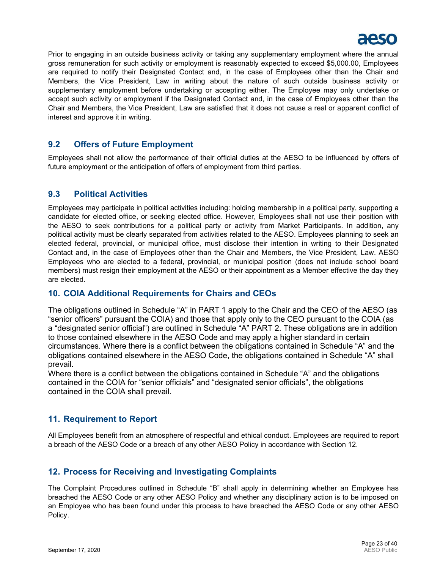

Prior to engaging in an outside business activity or taking any supplementary employment where the annual gross remuneration for such activity or employment is reasonably expected to exceed \$5,000.00, Employees are required to notify their Designated Contact and, in the case of Employees other than the Chair and Members, the Vice President, Law in writing about the nature of such outside business activity or supplementary employment before undertaking or accepting either. The Employee may only undertake or accept such activity or employment if the Designated Contact and, in the case of Employees other than the Chair and Members, the Vice President, Law are satisfied that it does not cause a real or apparent conflict of interest and approve it in writing.

## <span id="page-22-0"></span>**9.2 Offers of Future Employment**

Employees shall not allow the performance of their official duties at the AESO to be influenced by offers of future employment or the anticipation of offers of employment from third parties.

## <span id="page-22-1"></span>**9.3 Political Activities**

Employees may participate in political activities including: holding membership in a political party, supporting a candidate for elected office, or seeking elected office. However, Employees shall not use their position with the AESO to seek contributions for a political party or activity from Market Participants. In addition, any political activity must be clearly separated from activities related to the AESO. Employees planning to seek an elected federal, provincial, or municipal office, must disclose their intention in writing to their Designated Contact and, in the case of Employees other than the Chair and Members, the Vice President, Law. AESO Employees who are elected to a federal, provincial, or municipal position (does not include school board members) must resign their employment at the AESO or their appointment as a Member effective the day they are elected.

## <span id="page-22-2"></span>**10. COIA Additional Requirements for Chairs and CEOs**

The obligations outlined in Schedule "A" in PART 1 apply to the Chair and the CEO of the AESO (as "senior officers" pursuant the COIA) and those that apply only to the CEO pursuant to the COIA (as a "designated senior official") are outlined in Schedule "A" PART 2. These obligations are in addition to those contained elsewhere in the AESO Code and may apply a higher standard in certain circumstances. Where there is a conflict between the obligations contained in Schedule "A" and the obligations contained elsewhere in the AESO Code, the obligations contained in Schedule "A" shall prevail.

Where there is a conflict between the obligations contained in Schedule "A" and the obligations contained in the COIA for "senior officials" and "designated senior officials", the obligations contained in the COIA shall prevail.

## <span id="page-22-3"></span>**11. Requirement to Report**

All Employees benefit from an atmosphere of respectful and ethical conduct. Employees are required to report a breach of the AESO Code or a breach of any other AESO Policy in accordance with Section [12.](#page-22-4)

## <span id="page-22-4"></span>**12. Process for Receiving and Investigating Complaints**

The Complaint Procedures outlined in Schedule "B" shall apply in determining whether an Employee has breached the AESO Code or any other AESO Policy and whether any disciplinary action is to be imposed on an Employee who has been found under this process to have breached the AESO Code or any other AESO Policy.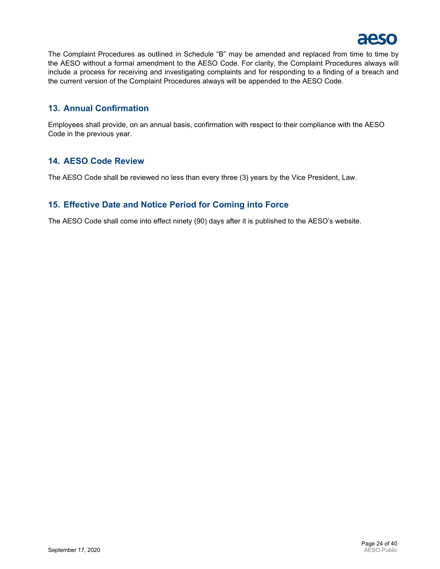<span id="page-23-3"></span>

The Complaint Procedures as outlined in Schedule "B" may be amended and replaced from time to time by the AESO without a formal amendment to the AESO Code. For clarity, the Complaint Procedures always will include a process for receiving and investigating complaints and for responding to a finding of a breach and the current version of the Complaint Procedures always will be appended to the AESO Code.

## <span id="page-23-0"></span>**13. Annual Confirmation**

Employees shall provide, on an annual basis, confirmation with respect to their compliance with the AESO Code in the previous year.

## <span id="page-23-1"></span>**14. AESO Code Review**

The AESO Code shall be reviewed no less than every three (3) years by the Vice President, Law.

## <span id="page-23-2"></span>**15. Effective Date and Notice Period for Coming into Force**

The AESO Code shall come into effect ninety (90) days after it is published to the AESO's website.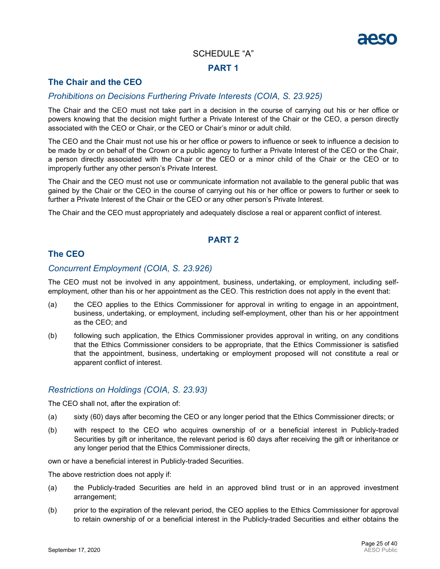## SCHEDULE "A"

## **PART 1**

## **The Chair and the CEO**

## *Prohibitions on Decisions Furthering Private Interests (COIA, S. 23.925)*

The Chair and the CEO must not take part in a decision in the course of carrying out his or her office or powers knowing that the decision might further a Private Interest of the Chair or the CEO, a person directly associated with the CEO or Chair, or the CEO or Chair's minor or adult child.

The CEO and the Chair must not use his or her office or powers to influence or seek to influence a decision to be made by or on behalf of the Crown or a public agency to further a Private Interest of the CEO or the Chair, a person directly associated with the Chair or the CEO or a minor child of the Chair or the CEO or to improperly further any other person's Private Interest.

The Chair and the CEO must not use or communicate information not available to the general public that was gained by the Chair or the CEO in the course of carrying out his or her office or powers to further or seek to further a Private Interest of the Chair or the CEO or any other person's Private Interest.

The Chair and the CEO must appropriately and adequately disclose a real or apparent conflict of interest.

## **PART 2**

## **The CEO**

## *Concurrent Employment (COIA, S. 23.926)*

The CEO must not be involved in any appointment, business, undertaking, or employment, including selfemployment, other than his or her appointment as the CEO. This restriction does not apply in the event that:

- (a) the CEO applies to the Ethics Commissioner for approval in writing to engage in an appointment, business, undertaking, or employment, including self-employment, other than his or her appointment as the CEO; and
- (b) following such application, the Ethics Commissioner provides approval in writing, on any conditions that the Ethics Commissioner considers to be appropriate, that the Ethics Commissioner is satisfied that the appointment, business, undertaking or employment proposed will not constitute a real or apparent conflict of interest.

## *Restrictions on Holdings (COIA, S. 23.93)*

The CEO shall not, after the expiration of:

- (a) sixty (60) days after becoming the CEO or any longer period that the Ethics Commissioner directs; or
- (b) with respect to the CEO who acquires ownership of or a beneficial interest in Publicly-traded Securities by gift or inheritance, the relevant period is 60 days after receiving the gift or inheritance or any longer period that the Ethics Commissioner directs,

own or have a beneficial interest in Publicly-traded Securities.

The above restriction does not apply if:

- (a) the Publicly-traded Securities are held in an approved blind trust or in an approved investment arrangement;
- (b) prior to the expiration of the relevant period, the CEO applies to the Ethics Commissioner for approval to retain ownership of or a beneficial interest in the Publicly-traded Securities and either obtains the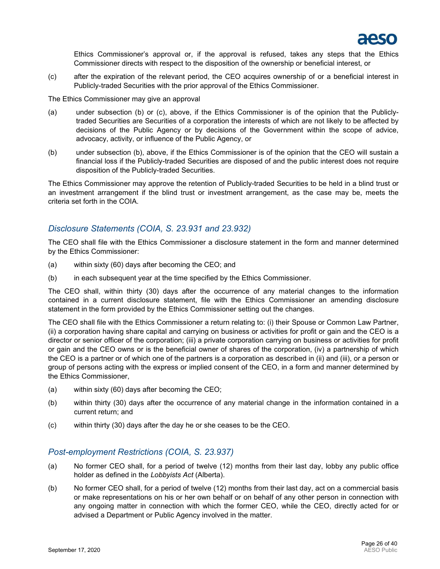

Ethics Commissioner's approval or, if the approval is refused, takes any steps that the Ethics Commissioner directs with respect to the disposition of the ownership or beneficial interest, or

(c) after the expiration of the relevant period, the CEO acquires ownership of or a beneficial interest in Publicly-traded Securities with the prior approval of the Ethics Commissioner.

The Ethics Commissioner may give an approval

- (a) under subsection (b) or (c), above, if the Ethics Commissioner is of the opinion that the Publiclytraded Securities are Securities of a corporation the interests of which are not likely to be affected by decisions of the Public Agency or by decisions of the Government within the scope of advice, advocacy, activity, or influence of the Public Agency, or
- (b) under subsection (b), above, if the Ethics Commissioner is of the opinion that the CEO will sustain a financial loss if the Publicly-traded Securities are disposed of and the public interest does not require disposition of the Publicly-traded Securities.

The Ethics Commissioner may approve the retention of Publicly-traded Securities to be held in a blind trust or an investment arrangement if the blind trust or investment arrangement, as the case may be, meets the criteria set forth in the COIA.

## *Disclosure Statements (COIA, S. 23.931 and 23.932)*

The CEO shall file with the Ethics Commissioner a disclosure statement in the form and manner determined by the Ethics Commissioner:

- (a) within sixty (60) days after becoming the CEO; and
- (b) in each subsequent year at the time specified by the Ethics Commissioner.

The CEO shall, within thirty (30) days after the occurrence of any material changes to the information contained in a current disclosure statement, file with the Ethics Commissioner an amending disclosure statement in the form provided by the Ethics Commissioner setting out the changes.

The CEO shall file with the Ethics Commissioner a return relating to: (i) their Spouse or Common Law Partner, (ii) a corporation having share capital and carrying on business or activities for profit or gain and the CEO is a director or senior officer of the corporation; (iii) a private corporation carrying on business or activities for profit or gain and the CEO owns or is the beneficial owner of shares of the corporation, (iv) a partnership of which the CEO is a partner or of which one of the partners is a corporation as described in (ii) and (iii), or a person or group of persons acting with the express or implied consent of the CEO, in a form and manner determined by the Ethics Commissioner,

- (a) within sixty (60) days after becoming the CEO;
- (b) within thirty (30) days after the occurrence of any material change in the information contained in a current return; and
- (c) within thirty (30) days after the day he or she ceases to be the CEO.

#### *Post-employment Restrictions (COIA, S. 23.937)*

- (a) No former CEO shall, for a period of twelve (12) months from their last day, lobby any public office holder as defined in the *Lobbyists Act* (Alberta).
- (b) No former CEO shall, for a period of twelve (12) months from their last day, act on a commercial basis or make representations on his or her own behalf or on behalf of any other person in connection with any ongoing matter in connection with which the former CEO, while the CEO, directly acted for or advised a Department or Public Agency involved in the matter.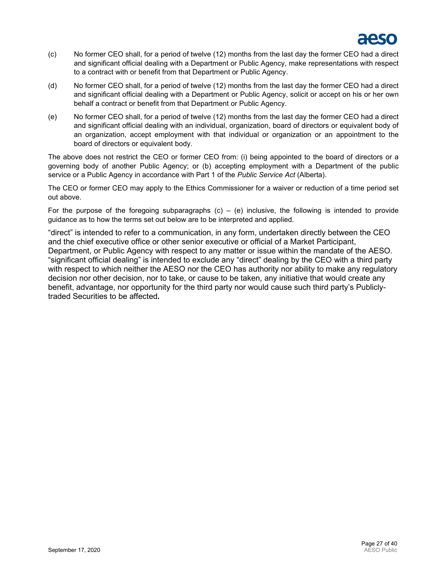

- (c) No former CEO shall, for a period of twelve (12) months from the last day the former CEO had a direct and significant official dealing with a Department or Public Agency, make representations with respect to a contract with or benefit from that Department or Public Agency.
- (d) No former CEO shall, for a period of twelve (12) months from the last day the former CEO had a direct and significant official dealing with a Department or Public Agency, solicit or accept on his or her own behalf a contract or benefit from that Department or Public Agency.
- (e) No former CEO shall, for a period of twelve (12) months from the last day the former CEO had a direct and significant official dealing with an individual, organization, board of directors or equivalent body of an organization, accept employment with that individual or organization or an appointment to the board of directors or equivalent body.

The above does not restrict the CEO or former CEO from: (i) being appointed to the board of directors or a governing body of another Public Agency; or (b) accepting employment with a Department of the public service or a Public Agency in accordance with Part 1 of the *Public Service Act* (Alberta).

The CEO or former CEO may apply to the Ethics Commissioner for a waiver or reduction of a time period set out above.

For the purpose of the foregoing subparagraphs  $(c) - (e)$  inclusive, the following is intended to provide guidance as to how the terms set out below are to be interpreted and applied.

"direct" is intended to refer to a communication, in any form, undertaken directly between the CEO and the chief executive office or other senior executive or official of a Market Participant, Department, or Public Agency with respect to any matter or issue within the mandate of the AESO. "significant official dealing" is intended to exclude any "direct" dealing by the CEO with a third party with respect to which neither the AESO nor the CEO has authority nor ability to make any regulatory decision nor other decision, nor to take, or cause to be taken, any initiative that would create any benefit, advantage, nor opportunity for the third party nor would cause such third party's Publiclytraded Securities to be affected**.**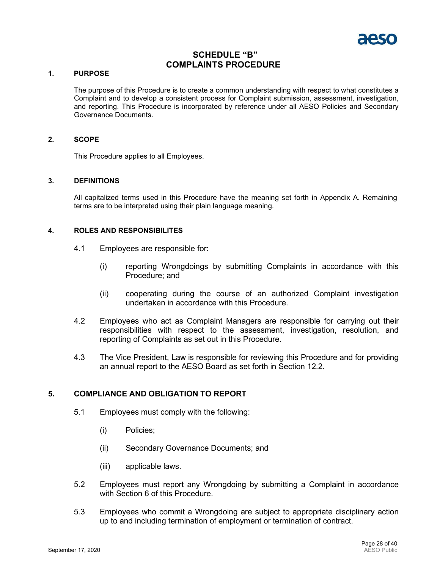

## **SCHEDULE "B" COMPLAINTS PROCEDURE**

#### <span id="page-27-0"></span>**1. PURPOSE**

The purpose of this Procedure is to create a common understanding with respect to what constitutes a Complaint and to develop a consistent process for Complaint submission, assessment, investigation, and reporting. This Procedure is incorporated by reference under all AESO Policies and Secondary Governance Documents.

#### **2. SCOPE**

This Procedure applies to all Employees.

#### **3. DEFINITIONS**

All capitalized terms used in this Procedure have the meaning set forth in Appendix A. Remaining terms are to be interpreted using their plain language meaning.

#### **4. ROLES AND RESPONSIBILITES**

- 4.1 Employees are responsible for:
	- (i) reporting Wrongdoings by submitting Complaints in accordance with this Procedure; and
	- (ii) cooperating during the course of an authorized Complaint investigation undertaken in accordance with this Procedure.
- 4.2 Employees who act as Complaint Managers are responsible for carrying out their responsibilities with respect to the assessment, investigation, resolution, and reporting of Complaints as set out in this Procedure.
- 4.3 The Vice President, Law is responsible for reviewing this Procedure and for providing an annual report to the AESO Board as set forth in Section [12.2.](#page-34-0)

#### **5. COMPLIANCE AND OBLIGATION TO REPORT**

- 5.1 Employees must comply with the following:
	- (i) Policies;
	- (ii) Secondary Governance Documents; and
	- (iii) applicable laws.
- 5.2 Employees must report any Wrongdoing by submitting a Complaint in accordance with Section [6](#page-28-0) of this Procedure.
- 5.3 Employees who commit a Wrongdoing are subject to appropriate disciplinary action up to and including termination of employment or termination of contract.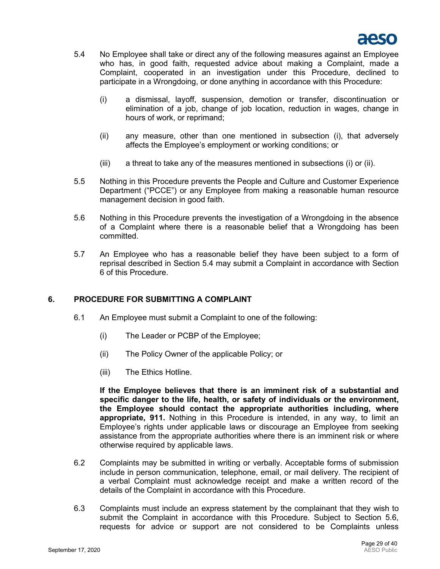

- <span id="page-28-3"></span><span id="page-28-1"></span>5.4 No Employee shall take or direct any of the following measures against an Employee who has, in good faith, requested advice about making a Complaint, made a Complaint, cooperated in an investigation under this Procedure, declined to participate in a Wrongdoing, or done anything in accordance with this Procedure:
	- (i) a dismissal, layoff, suspension, demotion or transfer, discontinuation or elimination of a job, change of job location, reduction in wages, change in hours of work, or reprimand;
	- (ii) any measure, other than one mentioned in subsection [\(i\),](#page-28-1) that adversely affects the Employee's employment or working conditions; or
	- (iii) a threat to take any of the measures mentioned in subsections [\(i\)](#page-28-1) or [\(ii\).](#page-28-2)
- <span id="page-28-2"></span>5.5 Nothing in this Procedure prevents the People and Culture and Customer Experience Department ("PCCE") or any Employee from making a reasonable human resource management decision in good faith.
- <span id="page-28-4"></span>5.6 Nothing in this Procedure prevents the investigation of a Wrongdoing in the absence of a Complaint where there is a reasonable belief that a Wrongdoing has been committed.
- 5.7 An Employee who has a reasonable belief they have been subject to a form of reprisal described in Section [5.4](#page-28-3) may submit a Complaint in accordance with Section [6](#page-28-0) of this Procedure.

## <span id="page-28-0"></span>**6. PROCEDURE FOR SUBMITTING A COMPLAINT**

- 6.1 An Employee must submit a Complaint to one of the following:
	- (i) The Leader or PCBP of the Employee;
	- (ii) The Policy Owner of the applicable Policy; or
	- (iii) The Ethics Hotline.

**If the Employee believes that there is an imminent risk of a substantial and specific danger to the life, health, or safety of individuals or the environment, the Employee should contact the appropriate authorities including, where appropriate, 911.** Nothing in this Procedure is intended, in any way, to limit an Employee's rights under applicable laws or discourage an Employee from seeking assistance from the appropriate authorities where there is an imminent risk or where otherwise required by applicable laws.

- 6.2 Complaints may be submitted in writing or verbally. Acceptable forms of submission include in person communication, telephone, email, or mail delivery. The recipient of a verbal Complaint must acknowledge receipt and make a written record of the details of the Complaint in accordance with this Procedure.
- 6.3 Complaints must include an express statement by the complainant that they wish to submit the Complaint in accordance with this Procedure. Subject to Section [5.6,](#page-28-4) requests for advice or support are not considered to be Complaints unless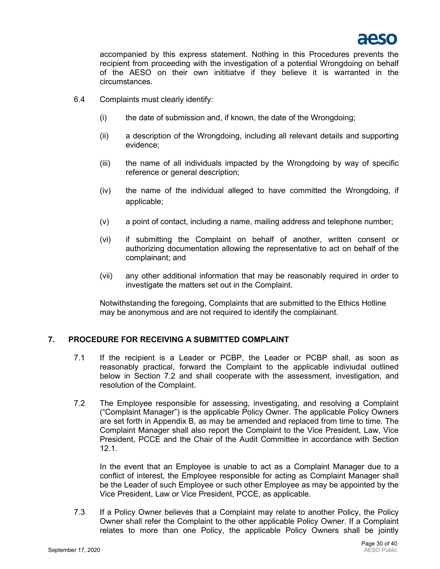

accompanied by this express statement. Nothing in this Procedures prevents the recipient from proceeding with the investigation of a potential Wrongdoing on behalf of the AESO on their own inititiatve if they believe it is warranted in the circumstances.

- 6.4 Complaints must clearly identify:
	- (i) the date of submission and, if known, the date of the Wrongdoing;
	- (ii) a description of the Wrongdoing, including all relevant details and supporting evidence;
	- (iii) the name of all individuals impacted by the Wrongdoing by way of specific reference or general description;
	- (iv) the name of the individual alleged to have committed the Wrongdoing, if applicable;
	- (v) a point of contact, including a name, mailing address and telephone number;
	- (vi) if submitting the Complaint on behalf of another, written consent or authorizing documentation allowing the representative to act on behalf of the complainant; and
	- (vii) any other additional information that may be reasonably required in order to investigate the matters set out in the Complaint.

Notwithstanding the foregoing, Complaints that are submitted to the Ethics Hotline may be anonymous and are not required to identify the complainant.

#### **7. PROCEDURE FOR RECEIVING A SUBMITTED COMPLAINT**

- 7.1 If the recipient is a Leader or PCBP, the Leader or PCBP shall, as soon as reasonably practical, forward the Complaint to the applicable indiviudal outlined below in Section [7.2](#page-29-0) and shall cooperate with the assessment, investigation, and resolution of the Complaint.
- <span id="page-29-0"></span>7.2 The Employee responsible for assessing, investigating, and resolving a Complaint ("Complaint Manager") is the applicable Policy Owner. The applicable Policy Owners are set forth in Appendix B, as may be amended and replaced from time to time. The Complaint Manager shall also report the Complaint to the Vice President, Law, Vice President, PCCE and the Chair of the Audit Committee in accordance with Section [12.1.](#page-34-1)

In the event that an Employee is unable to act as a Complaint Manager due to a conflict of interest, the Employee responsible for acting as Complaint Manager shall be the Leader of such Employee or such other Employee as may be appointed by the Vice President, Law or Vice President, PCCE, as applicable.

7.3 If a Policy Owner believes that a Complaint may relate to another Policy, the Policy Owner shall refer the Complaint to the other applicable Policy Owner. If a Complaint relates to more than one Policy, the applicable Policy Owners shall be jointly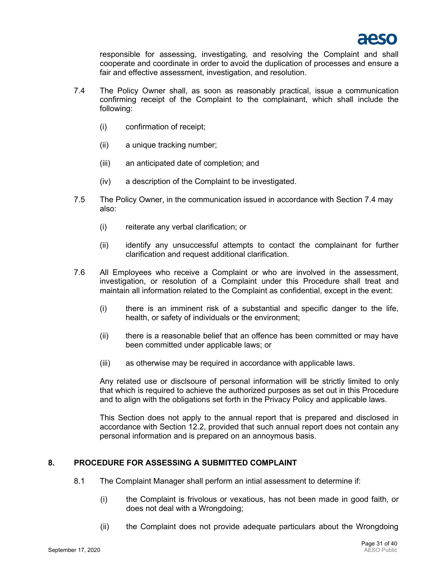

responsible for assessing, investigating, and resolving the Complaint and shall cooperate and coordinate in order to avoid the duplication of processes and ensure a fair and effective assessment, investigation, and resolution.

- <span id="page-30-0"></span>7.4 The Policy Owner shall, as soon as reasonably practical, issue a communication confirming receipt of the Complaint to the complainant, which shall include the following:
	- (i) confirmation of receipt;
	- (ii) a unique tracking number;
	- (iii) an anticipated date of completion; and
	- (iv) a description of the Complaint to be investigated.
- 7.5 The Policy Owner, in the communication issued in accordance with Section [7.4](#page-30-0) may also:
	- (i) reiterate any verbal clarification; or
	- (ii) identify any unsuccessful attempts to contact the complainant for further clarification and request additional clarification.
- 7.6 All Employees who receive a Complaint or who are involved in the assessment, investigation, or resolution of a Complaint under this Procedure shall treat and maintain all information related to the Complaint as confidential, except in the event:
	- (i) there is an imminent risk of a substantial and specific danger to the life, health, or safety of individuals or the environment;
	- (ii) there is a reasonable belief that an offence has been committed or may have been committed under applicable laws; or
	- (iii) as otherwise may be required in accordance with applicable laws.

Any related use or disclsoure of personal information will be strictly limited to only that which is required to achieve the authorized purposes as set out in this Procedure and to align with the obligations set forth in the Privacy Policy and applicable laws.

This Section does not apply to the annual report that is prepared and disclosed in accordance with Section [12.2,](#page-34-0) provided that such annual report does not contain any personal information and is prepared on an annoymous basis.

## <span id="page-30-1"></span>**8. PROCEDURE FOR ASSESSING A SUBMITTED COMPLAINT**

- <span id="page-30-2"></span>8.1 The Complaint Manager shall perform an intial assessment to determine if:
	- (i) the Complaint is frivolous or vexatious, has not been made in good faith, or does not deal with a Wrongdoing;
	- (ii) the Complaint does not provide adequate particulars about the Wrongdoing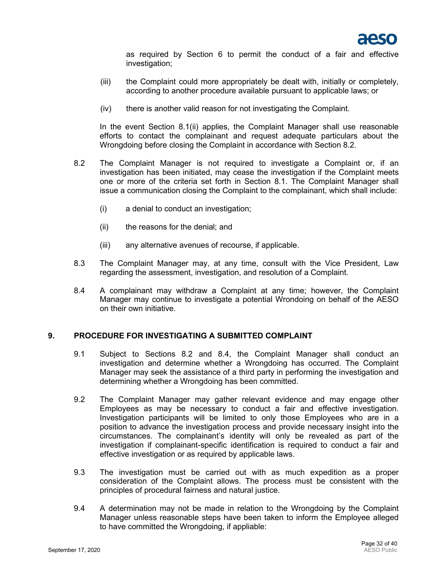

as required by Section [6](#page-28-0) to permit the conduct of a fair and effective investigation;

- (iii) the Complaint could more appropriately be dealt with, initially or completely, according to another procedure available pursuant to applicable laws; or
- (iv) there is another valid reason for not investigating the Complaint.

In the event Section [8.1](#page-30-1)[\(ii\)](#page-30-2) applies, the Complaint Manager shall use reasonable efforts to contact the complainant and request adequate particulars about the Wrongdoing before closing the Complaint in accordance with Section [8.2.](#page-31-0)

- <span id="page-31-0"></span>8.2 The Complaint Manager is not required to investigate a Complaint or, if an investigation has been initiated, may cease the investigation if the Complaint meets one or more of the criteria set forth in Section [8.1.](#page-30-1) The Complaint Manager shall issue a communication closing the Complaint to the complainant, which shall include:
	- (i) a denial to conduct an investigation;
	- (ii) the reasons for the denial; and
	- (iii) any alternative avenues of recourse, if applicable.
- 8.3 The Complaint Manager may, at any time, consult with the Vice President, Law regarding the assessment, investigation, and resolution of a Complaint.
- <span id="page-31-1"></span>8.4 A complainant may withdraw a Complaint at any time; however, the Complaint Manager may continue to investigate a potential Wrondoing on behalf of the AESO on their own initiative.

#### <span id="page-31-2"></span>**9. PROCEDURE FOR INVESTIGATING A SUBMITTED COMPLAINT**

- 9.1 Subject to Sections [8.2](#page-31-0) and [8.4,](#page-31-1) the Complaint Manager shall conduct an investigation and determine whether a Wrongdoing has occurred. The Complaint Manager may seek the assistance of a third party in performing the investigation and determining whether a Wrongdoing has been committed.
- 9.2 The Complaint Manager may gather relevant evidence and may engage other Employees as may be necessary to conduct a fair and effective investigation. Investigation participants will be limited to only those Employees who are in a position to advance the investigation process and provide necessary insight into the circumstances. The complainant's identity will only be revealed as part of the investigation if complainant-specific identification is required to conduct a fair and effective investigation or as required by applicable laws.
- 9.3 The investigation must be carried out with as much expedition as a proper consideration of the Complaint allows. The process must be consistent with the principles of procedural fairness and natural justice.
- <span id="page-31-3"></span>9.4 A determination may not be made in relation to the Wrongdoing by the Complaint Manager unless reasonable steps have been taken to inform the Employee alleged to have committed the Wrongdoing, if appliable: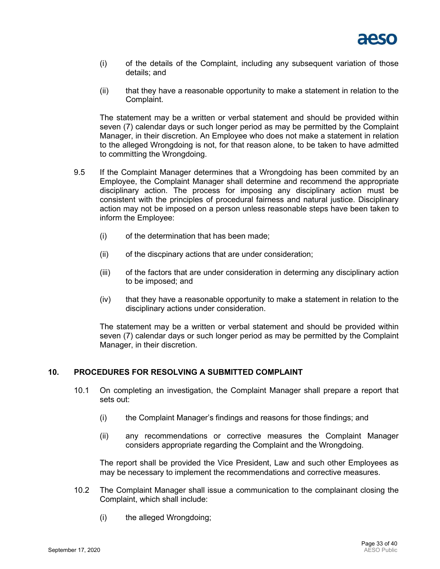

- (i) of the details of the Complaint, including any subsequent variation of those details; and
- (ii) that they have a reasonable opportunity to make a statement in relation to the Complaint.

The statement may be a written or verbal statement and should be provided within seven (7) calendar days or such longer period as may be permitted by the Complaint Manager, in their discretion. An Employee who does not make a statement in relation to the alleged Wrongdoing is not, for that reason alone, to be taken to have admitted to committing the Wrongdoing.

- <span id="page-32-0"></span>9.5 If the Complaint Manager determines that a Wrongdoing has been commited by an Employee, the Complaint Manager shall determine and recommend the appropriate disciplinary action. The process for imposing any disciplinary action must be consistent with the principles of procedural fairness and natural justice. Disciplinary action may not be imposed on a person unless reasonable steps have been taken to inform the Employee:
	- (i) of the determination that has been made;
	- (ii) of the discpinary actions that are under consideration;
	- (iii) of the factors that are under consideration in determing any disciplinary action to be imposed; and
	- $(iv)$  that they have a reasonable opportunity to make a statement in relation to the disciplinary actions under consideration.

The statement may be a written or verbal statement and should be provided within seven (7) calendar days or such longer period as may be permitted by the Complaint Manager, in their discretion.

#### <span id="page-32-1"></span>**10. PROCEDURES FOR RESOLVING A SUBMITTED COMPLAINT**

- 10.1 On completing an investigation, the Complaint Manager shall prepare a report that sets out:
	- (i) the Complaint Manager's findings and reasons for those findings; and
	- (ii) any recommendations or corrective measures the Complaint Manager considers appropriate regarding the Complaint and the Wrongdoing.

The report shall be provided the Vice President, Law and such other Employees as may be necessary to implement the recommendations and corrective measures.

- 10.2 The Complaint Manager shall issue a communication to the complainant closing the Complaint, which shall include:
	- (i) the alleged Wrongdoing;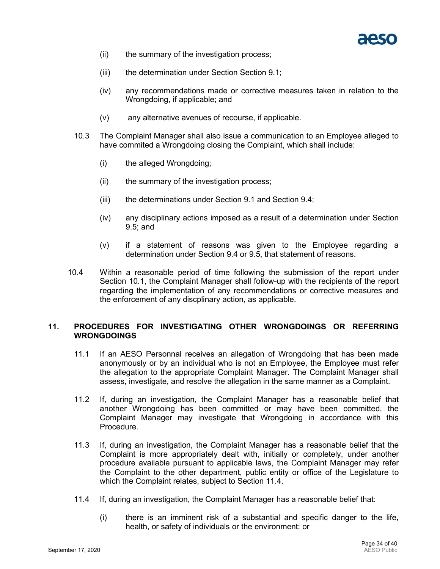

- (ii) the summary of the investigation process;
- (iii) the determination under Section Section [9.1;](#page-31-2)
- (iv) any recommendations made or corrective measures taken in relation to the Wrongdoing, if applicable; and
- (v) any alternative avenues of recourse, if applicable.
- 10.3 The Complaint Manager shall also issue a communication to an Employee alleged to have commited a Wrongdoing closing the Complaint, which shall include:
	- (i) the alleged Wrongdoing;
	- (ii) the summary of the investigation process;
	- (iii) the determinations under Section [9.1](#page-31-2) and Section [9.4;](#page-31-3)
	- (iv) any disciplinary actions imposed as a result of a determination under Section [9.5;](#page-32-0) and
	- (v) if a statement of reasons was given to the Employee regarding a determination under Section [9.4](#page-31-3) or [9.5,](#page-32-0) that statement of reasons.
- 10.4 Within a reasonable period of time following the submission of the report under Section [10.1,](#page-32-1) the Complaint Manager shall follow-up with the recipients of the report regarding the implementation of any recommendations or corrective measures and the enforcement of any discplinary action, as applicable.

#### **11. PROCEDURES FOR INVESTIGATING OTHER WRONGDOINGS OR REFERRING WRONGDOINGS**

- 11.1 If an AESO Personnal receives an allegation of Wrongdoing that has been made anonymously or by an individual who is not an Employee, the Employee must refer the allegation to the appropriate Complaint Manager. The Complaint Manager shall assess, investigate, and resolve the allegation in the same manner as a Complaint.
- 11.2 If, during an investigation, the Complaint Manager has a reasonable belief that another Wrongdoing has been committed or may have been committed, the Complaint Manager may investigate that Wrongdoing in accordance with this Procedure.
- <span id="page-33-1"></span>11.3 If, during an investigation, the Complaint Manager has a reasonable belief that the Complaint is more appropriately dealt with, initially or completely, under another procedure available pursuant to applicable laws, the Complaint Manager may refer the Complaint to the other department, public entity or office of the Legislature to which the Complaint relates, subject to Section [11.4.](#page-33-0)
- <span id="page-33-0"></span>11.4 If, during an investigation, the Complaint Manager has a reasonable belief that:
	- (i) there is an imminent risk of a substantial and specific danger to the life, health, or safety of individuals or the environment; or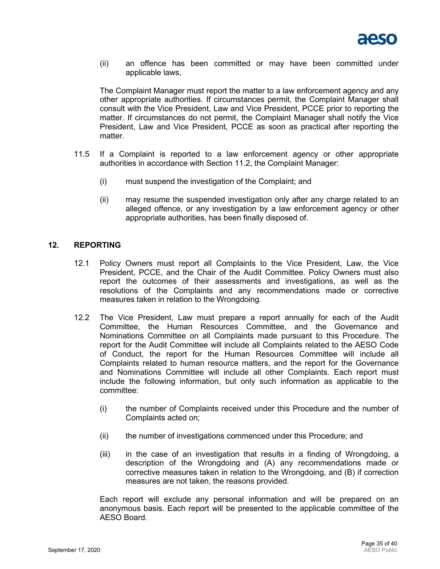

(ii) an offence has been committed or may have been committed under applicable laws,

The Complaint Manager must report the matter to a law enforcement agency and any other appropriate authorities. If circumstances permit, the Complaint Manager shall consult with the Vice President, Law and Vice President, PCCE prior to reporting the matter. If circumstances do not permit, the Complaint Manager shall notify the Vice President, Law and Vice President, PCCE as soon as practical after reporting the matter.

- 11.5 If a Complaint is reported to a law enforcement agency or other appropriate authorities in accordance with Section [11.2,](#page-33-1) the Complaint Manager:
	- (i) must suspend the investigation of the Complaint; and
	- (ii) may resume the suspended investigation only after any charge related to an alleged offence, or any investigation by a law enforcement agency or other appropriate authorities, has been finally disposed of.

## <span id="page-34-1"></span>**12. REPORTING**

- 12.1 Policy Owners must report all Complaints to the Vice President, Law, the Vice President, PCCE, and the Chair of the Audit Committee. Policy Owners must also report the outcomes of their assessments and investigations, as well as the resolutions of the Complaints and any recommendations made or corrective measures taken in relation to the Wrongdoing.
- <span id="page-34-0"></span>12.2 The Vice President, Law must prepare a report annually for each of the Audit Committee, the Human Resources Committee, and the Governance and Nominations Committee on all Complaints made pursuant to this Procedure. The report for the Audit Committee will include all Complaints related to the AESO Code of Conduct, the report for the Human Resources Committee will include all Complaints related to human resource matters, and the report for the Governance and Nominations Committee will include all other Complaints. Each report must include the following information, but only such information as applicable to the committee:
	- (i) the number of Complaints received under this Procedure and the number of Complaints acted on;
	- (ii) the number of investigations commenced under this Procedure; and
	- (iii) in the case of an investigation that results in a finding of Wrongdoing, a description of the Wrongdoing and (A) any recommendations made or corrective measures taken in relation to the Wrongdoing, and (B) if correction measures are not taken, the reasons provided.

Each report will exclude any personal information and will be prepared on an anonymous basis. Each report will be presented to the applicable committee of the AESO Board.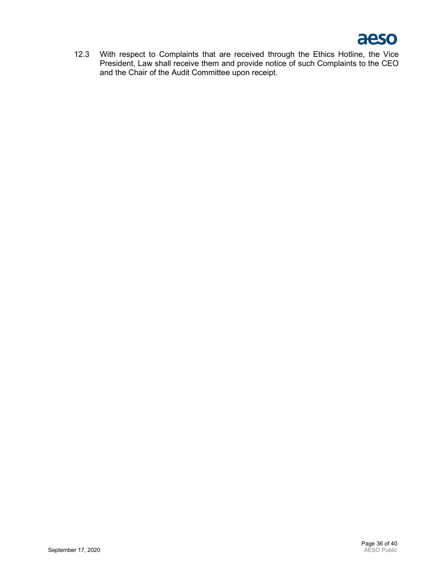

12.3 With respect to Complaints that are received through the Ethics Hotline, the Vice President, Law shall receive them and provide notice of such Complaints to the CEO and the Chair of the Audit Committee upon receipt.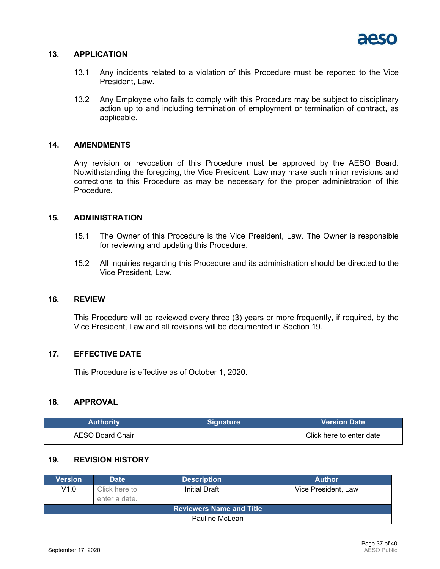

#### **13. APPLICATION**

- 13.1 Any incidents related to a violation of this Procedure must be reported to the Vice President, Law.
- 13.2 Any Employee who fails to comply with this Procedure may be subject to disciplinary action up to and including termination of employment or termination of contract, as applicable.

#### **14. AMENDMENTS**

Any revision or revocation of this Procedure must be approved by the AESO Board. Notwithstanding the foregoing, the Vice President, Law may make such minor revisions and corrections to this Procedure as may be necessary for the proper administration of this Procedure.

## **15. ADMINISTRATION**

- 15.1 The Owner of this Procedure is the Vice President, Law. The Owner is responsible for reviewing and updating this Procedure.
- 15.2 All inquiries regarding this Procedure and its administration should be directed to the Vice President, Law.

#### **16. REVIEW**

This Procedure will be reviewed every three (3) years or more frequently, if required, by the Vice President, Law and all revisions will be documented in Section [19.](#page-36-0)

#### **17. EFFECTIVE DATE**

This Procedure is effective as of October 1, 2020.

#### **18. APPROVAL**

| <b>Authority</b> | <b>Signature</b> | Version Date \           |
|------------------|------------------|--------------------------|
| AESO Board Chair |                  | Click here to enter date |

## <span id="page-36-0"></span>**19. REVISION HISTORY**

| Version                         | <b>Date</b>   | <b>Description</b> | <b>Author</b>       |  |  |  |  |
|---------------------------------|---------------|--------------------|---------------------|--|--|--|--|
| V1.0                            | Click here to | Initial Draft      | Vice President, Law |  |  |  |  |
|                                 | enter a date. |                    |                     |  |  |  |  |
| <b>Reviewers Name and Title</b> |               |                    |                     |  |  |  |  |
| Pauline McLean                  |               |                    |                     |  |  |  |  |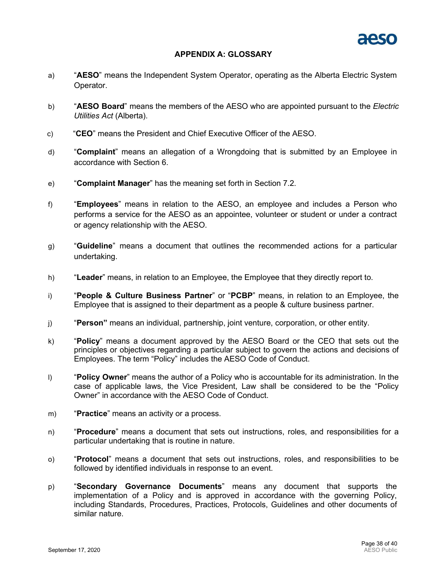

#### **APPENDIX A: GLOSSARY**

- a) "**AESO**" means the Independent System Operator, operating as the Alberta Electric System Operator.
- b) "**AESO Board**" means the members of the AESO who are appointed pursuant to the *Electric Utilities Act* (Alberta).
- c) "**CEO**" means the President and Chief Executive Officer of the AESO.
- d) "**Complaint**" means an allegation of a Wrongdoing that is submitted by an Employee in accordance with Section [6.](#page-28-0)
- e) "**Complaint Manager**" has the meaning set forth in Section [7.2.](#page-29-0)
- f) "**Employees**" means in relation to the AESO, an employee and includes a Person who performs a service for the AESO as an appointee, volunteer or student or under a contract or agency relationship with the AESO.
- g) "**Guideline**" means a document that outlines the recommended actions for a particular undertaking.
- h) "**Leader**" means, in relation to an Employee, the Employee that they directly report to.
- i) "**People & Culture Business Partner**" or "**PCBP**" means, in relation to an Employee, the Employee that is assigned to their department as a people & culture business partner.
- j) "**Person"** means an individual, partnership, joint venture, corporation, or other entity.
- k) "**Policy**" means a document approved by the AESO Board or the CEO that sets out the principles or objectives regarding a particular subject to govern the actions and decisions of Employees. The term "Policy" includes the AESO Code of Conduct.
- l) "**Policy Owner**" means the author of a Policy who is accountable for its administration. In the case of applicable laws, the Vice President, Law shall be considered to be the "Policy Owner" in accordance with the AESO Code of Conduct.
- m) "**Practice**" means an activity or a process.
- n) "**Procedure**" means a document that sets out instructions, roles, and responsibilities for a particular undertaking that is routine in nature.
- o) "**Protocol**" means a document that sets out instructions, roles, and responsibilities to be followed by identified individuals in response to an event.
- p) "**Secondary Governance Documents**" means any document that supports the implementation of a Policy and is approved in accordance with the governing Policy, including Standards, Procedures, Practices, Protocols, Guidelines and other documents of similar nature.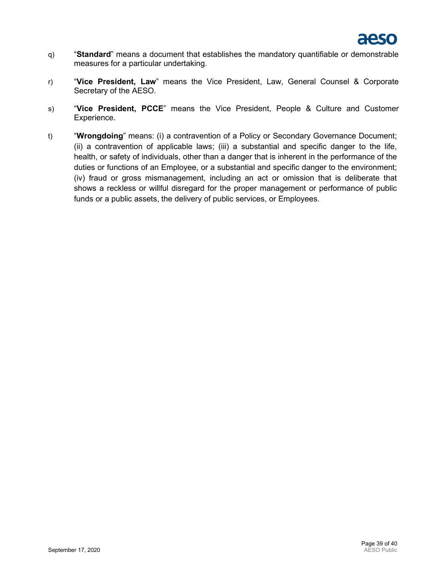

- q) "**Standard**" means a document that establishes the mandatory quantifiable or demonstrable measures for a particular undertaking.
- r) "**Vice President, Law**" means the Vice President, Law, General Counsel & Corporate Secretary of the AESO.
- s) "**Vice President, PCCE**" means the Vice President, People & Culture and Customer Experience.
- t) "**Wrongdoing**" means: (i) a contravention of a Policy or Secondary Governance Document; (ii) a contravention of applicable laws; (iii) a substantial and specific danger to the life, health, or safety of individuals, other than a danger that is inherent in the performance of the duties or functions of an Employee, or a substantial and specific danger to the environment; (iv) fraud or gross mismanagement, including an act or omission that is deliberate that shows a reckless or willful disregard for the proper management or performance of public funds or a public assets, the delivery of public services, or Employees.